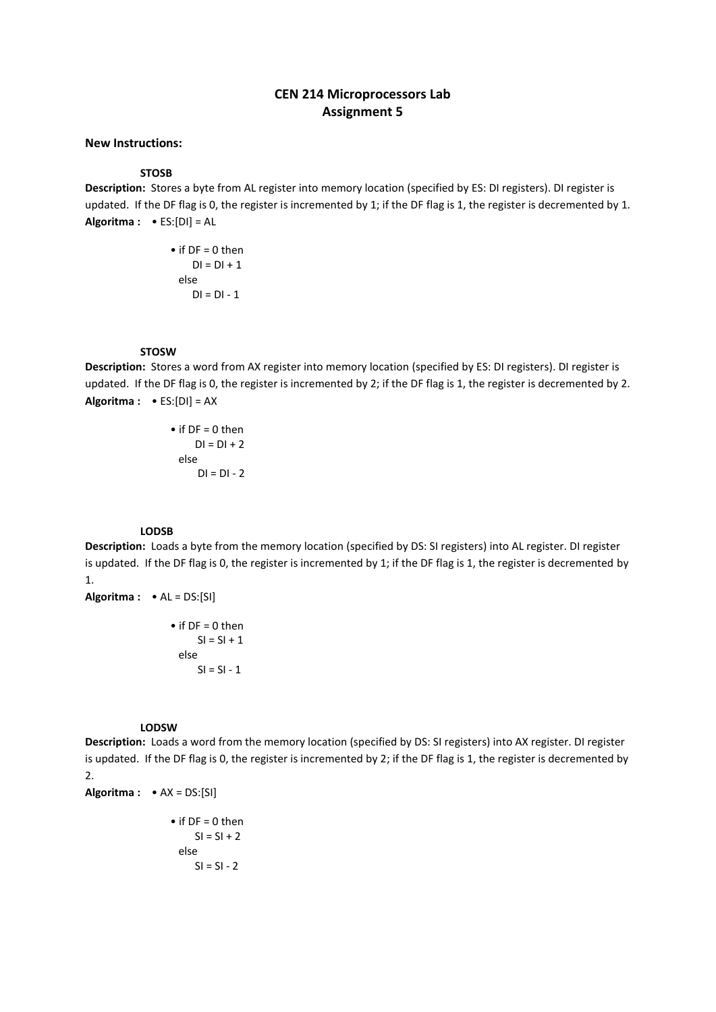# **CEN 214 Microprocessors Lab Assignment 5**

# **New Instructions:**

**STOSB**

**Description:** Stores a byte from AL register into memory location (specified by ES: DI registers). DI register is updated.If the DF flag is 0, the register is incremented by 1; if the DF flag is 1, the register is decremented by 1. **Algoritma :** • ES:[DI] = AL

> $\bullet$  if DF = 0 then  $DI = DI + 1$  else  $DI = DI - 1$

### **STOSW**

**Description:** Stores a word from AX register into memory location (specified by ES: DI registers). DI register is updated.If the DF flag is 0, the register is incremented by 2; if the DF flag is 1, the register is decremented by 2. **Algoritma :** • ES:[DI] = AX

> $\bullet$  if DF = 0 then  $DI = DI + 2$  else  $DI = DI - 2$

#### **LODSB**

**Description:** Loads a byte from the memory location (specified by DS: SI registers) into AL register. DI register is updated.If the DF flag is 0, the register is incremented by 1; if the DF flag is 1, the register is decremented by 1.

**Algoritma :** • AL = DS:[SI]

 $\bullet$  if DF = 0 then  $SI = SI + 1$  else  $SI = SI - 1$ 

**LODSW**

**Description:** Loads a word from the memory location (specified by DS: SI registers) into AX register. DI register is updated.If the DF flag is 0, the register is incremented by 2; if the DF flag is 1, the register is decremented by 2.

**Algoritma :** • AX = DS:[SI]

 $\bullet$  if DF = 0 then  $SI = SI + 2$  else  $SI = SI - 2$